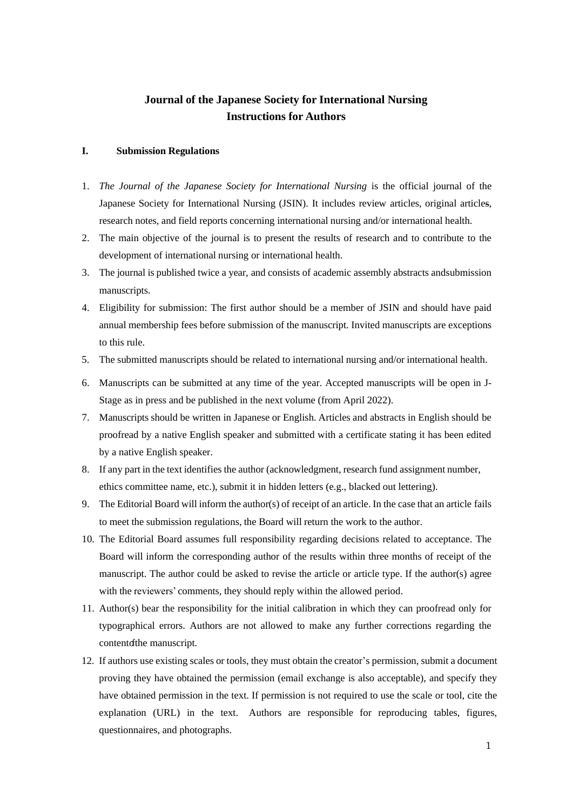# **Journal of the Japanese Society for International Nursing Instructions for Authors**

#### **I. Submission Regulations**

- 1. *The Journal of the Japanese Society for International Nursing* is the official journal of the Japanese Society for International Nursing (JSIN). It includes review articles, original articles, research notes, and field reports concerning international nursing and/or international health.
- 2. The main objective of the journal is to present the results of research and to contribute to the development of international nursing or international health.
- 3. The journal is published twice a year, and consists of academic assembly abstracts andsubmission manuscripts.
- 4. Eligibility for submission: The first author should be a member of JSIN and should have paid annual membership fees before submission of the manuscript. Invited manuscripts are exceptions to this rule.
- 5. The submitted manuscripts should be related to international nursing and/or international health.
- 6. Manuscripts can be submitted at any time of the year. Accepted manuscripts will be open in J-Stage as in press and be published in the next volume (from April 2022).
- 7. Manuscripts should be written in Japanese or English. Articles and abstracts in English should be proofread by a native English speaker and submitted with a certificate stating it has been edited by a native English speaker.
- 8. If any part in the text identifies the author (acknowledgment, research fund assignment number, ethics committee name, etc.), submit it in hidden letters (e.g., blacked out lettering).
- 9. The Editorial Board will inform the author(s) of receipt of an article. In the case that an article fails to meet the submission regulations, the Board will return the work to the author.
- 10. The Editorial Board assumes full responsibility regarding decisions related to acceptance. The Board will inform the corresponding author of the results within three months of receipt of the manuscript. The author could be asked to revise the article or article type. If the author(s) agree with the reviewers' comments, they should reply within the allowed period.
- 11. Author(s) bear the responsibility for the initial calibration in which they can proofread only for typographical errors. Authors are not allowed to make any further corrections regarding the contentofthe manuscript.
- 12. If authors use existing scales or tools, they must obtain the creator's permission, submit a document proving they have obtained the permission (email exchange is also acceptable), and specify they have obtained permission in the text. If permission is not required to use the scale or tool, cite the explanation (URL) in the text. Authors are responsible for reproducing tables, figures, questionnaires, and photographs.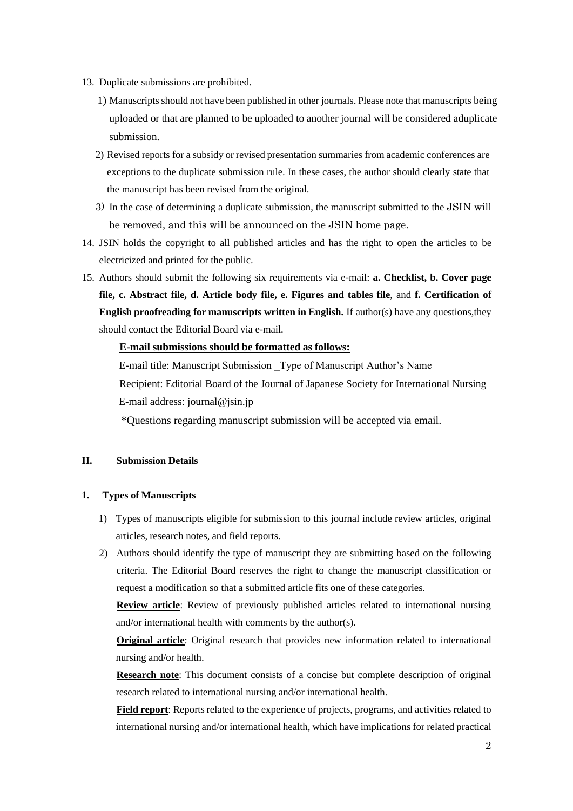- 13. Duplicate submissions are prohibited.
	- 1) Manuscriptsshould not have been published in other journals. Please note that manuscripts being uploaded or that are planned to be uploaded to another journal will be considered aduplicate submission.
	- 2) Revised reports for a subsidy or revised presentation summaries from academic conferences are exceptions to the duplicate submission rule. In these cases, the author should clearly state that the manuscript has been revised from the original.
	- 3) In the case of determining a duplicate submission, the manuscript submitted to the JSIN will be removed, and this will be announced on the JSIN home page.
- 14. JSIN holds the copyright to all published articles and has the right to open the articles to be electricized and printed for the public.
- 15. Authors should submit the following six requirements via e-mail: **a. Checklist, b. Cover page file, c. Abstract file, d. Article body file, e. Figures and tables file**, and **f. Certification of English proofreading for manuscripts written in English.** If author(s) have any questions,they should contact the Editorial Board via e-mail.

## **E-mail submissions should be formatted as follows:**

E-mail title: Manuscript Submission \_Type of Manuscript Author's Name Recipient: Editorial Board of the Journal of Japanese Society for International Nursing E-mail address: [journal@jsin.jp](mailto:journal@jsin.jp)

\*Questions regarding manuscript submission will be accepted via email.

## **II. Submission Details**

## **1. Types of Manuscripts**

- 1) Types of manuscripts eligible for submission to this journal include review articles, original articles, research notes, and field reports.
- 2) Authors should identify the type of manuscript they are submitting based on the following criteria. The Editorial Board reserves the right to change the manuscript classification or request a modification so that a submitted article fits one of these categories.

**Review article**: Review of previously published articles related to international nursing and/or international health with comments by the author(s).

**Original article**: Original research that provides new information related to international nursing and/or health.

**Research note**: This document consists of a concise but complete description of original research related to international nursing and/or international health.

**Field report**: Reports related to the experience of projects, programs, and activities related to international nursing and/or international health, which have implications for related practical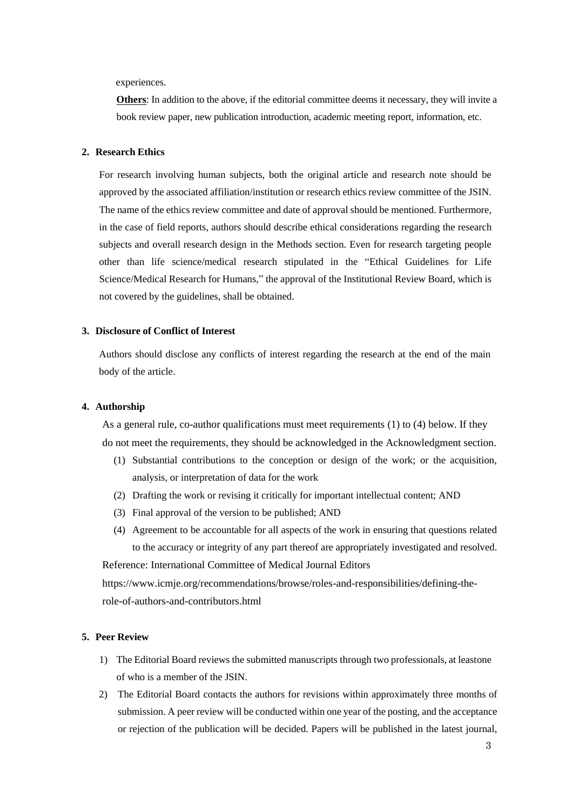experiences.

**Others**: In addition to the above, if the editorial committee deems it necessary, they will invite a book review paper, new publication introduction, academic meeting report, information, etc.

#### **2. Research Ethics**

For research involving human subjects, both the original article and research note should be approved by the associated affiliation/institution or research ethics review committee of the JSIN. The name of the ethics review committee and date of approval should be mentioned. Furthermore, in the case of field reports, authors should describe ethical considerations regarding the research subjects and overall research design in the Methods section. Even for research targeting people other than life science/medical research stipulated in the "Ethical Guidelines for Life Science/Medical Research for Humans," the approval of the Institutional Review Board, which is not covered by the guidelines, shall be obtained.

#### **3. Disclosure of Conflict of Interest**

Authors should disclose any conflicts of interest regarding the research at the end of the main body of the article.

#### **4. Authorship**

As a general rule, co-author qualifications must meet requirements (1) to (4) below. If they do not meet the requirements, they should be acknowledged in the Acknowledgment section.

- (1) Substantial contributions to the conception or design of the work; or the acquisition, analysis, or interpretation of data for the work
- (2) Drafting the work or revising it critically for important intellectual content; AND
- (3) Final approval of the version to be published; AND
- (4) Agreement to be accountable for all aspects of the work in ensuring that questions related to the accuracy or integrity of any part thereof are appropriately investigated and resolved.

Reference: International Committee of Medical Journal Editors

[https://www.icmje.org/recommendations/browse/roles-and-responsibilities/defining-the](https://www.icmje.org/recommendations/browse/roles-and-responsibilities/defining-the-role-of-authors-and-contributors.html)[role-of-authors-and-contributors.html](https://www.icmje.org/recommendations/browse/roles-and-responsibilities/defining-the-role-of-authors-and-contributors.html)

#### **5. Peer Review**

- 1) The Editorial Board reviews the submitted manuscripts through two professionals, at leastone of who is a member of the JSIN.
- 2) The Editorial Board contacts the authors for revisions within approximately three months of submission. A peer review will be conducted within one year of the posting, and the acceptance or rejection of the publication will be decided. Papers will be published in the latest journal,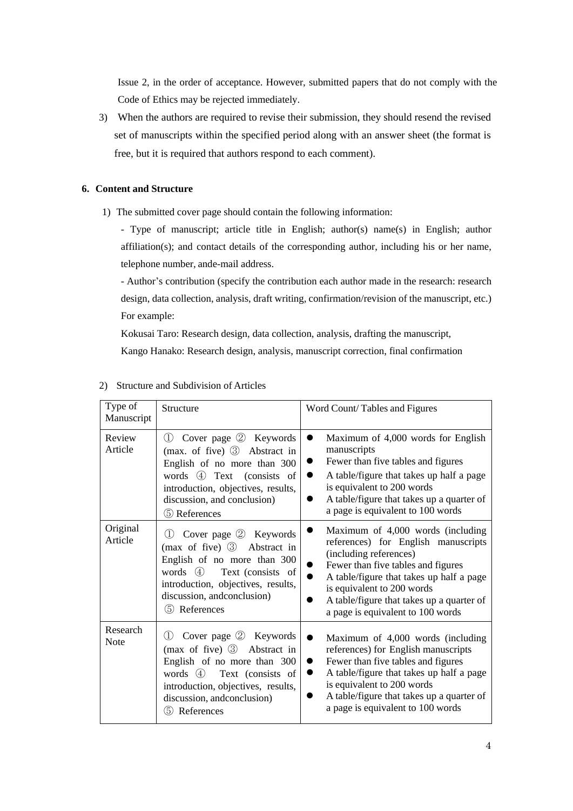Issue 2, in the order of acceptance. However, submitted papers that do not comply with the Code of Ethics may be rejected immediately.

3) When the authors are required to revise their submission, they should resend the revised set of manuscripts within the specified period along with an answer sheet (the format is free, but it is required that authors respond to each comment).

## **6. Content and Structure**

1) The submitted cover page should contain the following information:

- Type of manuscript; article title in English; author(s) name(s) in English; author affiliation(s); and contact details of the corresponding author, including his or her name, telephone number, ande-mail address.

- Author's contribution (specify the contribution each author made in the research: research design, data collection, analysis, draft writing, confirmation/revision of the manuscript, etc.) For example:

Kokusai Taro: Research design, data collection, analysis, drafting the manuscript, Kango Hanako: Research design, analysis, manuscript correction, final confirmation

| Type of<br>Manuscript   | Structure                                                                                                                                                                                                                                 | Word Count/Tables and Figures                                                                                                                                                                                                                                                                        |
|-------------------------|-------------------------------------------------------------------------------------------------------------------------------------------------------------------------------------------------------------------------------------------|------------------------------------------------------------------------------------------------------------------------------------------------------------------------------------------------------------------------------------------------------------------------------------------------------|
| Review<br>Article       | Cover page 2 Keywords<br>(1)<br>(max. of five) $\circled{3}$ Abstract in<br>English of no more than 300<br>words 4 Text (consists of<br>introduction, objectives, results,<br>discussion, and conclusion)<br>5 References                 | Maximum of 4,000 words for English<br>D<br>manuscripts<br>Fewer than five tables and figures<br>A table/figure that takes up half a page<br>is equivalent to 200 words<br>A table/figure that takes up a quarter of<br>a page is equivalent to 100 words                                             |
| Original<br>Article     | Cover page 2 Keywords<br>(1)<br>(max of five) 3 Abstract in<br>English of no more than 300<br>words 4<br>Text (consists of<br>introduction, objectives, results,<br>discussion, and conclusion)<br>5 References                           | Maximum of 4,000 words (including<br>references) for English manuscripts<br>(including references)<br>Fewer than five tables and figures<br>A table/figure that takes up half a page<br>is equivalent to 200 words<br>A table/figure that takes up a quarter of<br>a page is equivalent to 100 words |
| Research<br><b>Note</b> | Cover page 2 Keywords<br>$\left(1\right)$<br>(max of five) $\circled{3}$ Abstract in<br>English of no more than 300<br>words 4 Text (consists of<br>introduction, objectives, results,<br>discussion, andconclusion)<br>References<br>(5) | Maximum of 4,000 words (including<br>references) for English manuscripts<br>Fewer than five tables and figures<br>$\bullet$<br>A table/figure that takes up half a page<br>is equivalent to 200 words<br>A table/figure that takes up a quarter of<br>a page is equivalent to 100 words              |

### 2) Structure and Subdivision of Articles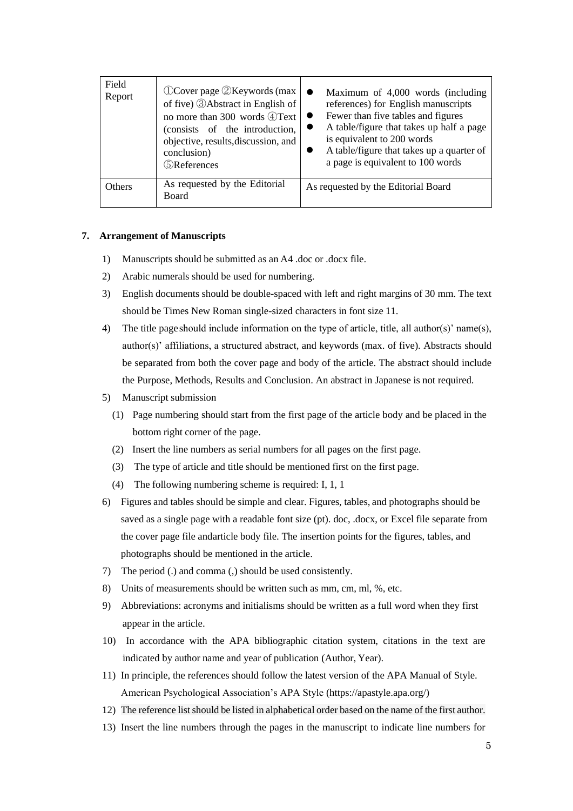| Field<br>Report | $\mathbb{O}$ Cover page $\mathbb{Q}$ Keywords (max<br>of five) <b>3</b> Abstract in English of<br>no more than 300 words 4)Text<br>(consists of the introduction,<br>objective, results, discussion, and<br>conclusion)<br><b>S</b> References | Maximum of 4,000 words (including<br>references) for English manuscripts<br>Fewer than five tables and figures<br>A table/figure that takes up half a page<br>is equivalent to 200 words<br>A table/figure that takes up a quarter of<br>a page is equivalent to 100 words |
|-----------------|------------------------------------------------------------------------------------------------------------------------------------------------------------------------------------------------------------------------------------------------|----------------------------------------------------------------------------------------------------------------------------------------------------------------------------------------------------------------------------------------------------------------------------|
| Others          | As requested by the Editorial<br><b>Board</b>                                                                                                                                                                                                  | As requested by the Editorial Board                                                                                                                                                                                                                                        |

#### **7. Arrangement of Manuscripts**

- 1) Manuscripts should be submitted as an A4 .doc or .docx file.
- 2) Arabic numerals should be used for numbering.
- 3) English documents should be double-spaced with left and right margins of 30 mm. The text should be Times New Roman single-sized characters in font size 11.
- 4) The title page should include information on the type of article, title, all author(s)' name(s), author(s)' affiliations, a structured abstract, and keywords (max. of five). Abstracts should be separated from both the cover page and body of the article. The abstract should include the Purpose, Methods, Results and Conclusion. An abstract in Japanese is not required.
- 5) Manuscript submission
	- (1) Page numbering should start from the first page of the article body and be placed in the bottom right corner of the page.
	- (2) Insert the line numbers as serial numbers for all pages on the first page.
	- (3) The type of article and title should be mentioned first on the first page.
	- (4) The following numbering scheme is required: I, 1, 1
- 6) Figures and tables should be simple and clear. Figures, tables, and photographs should be saved as a single page with a readable font size (pt). doc, .docx, or Excel file separate from the cover page file andarticle body file. The insertion points for the figures, tables, and photographs should be mentioned in the article.
- 7) The period (.) and comma (,) should be used consistently.
- 8) Units of measurements should be written such as mm, cm, ml, %, etc.
- 9) Abbreviations: acronyms and initialisms should be written as a full word when they first appear in the article.
- 10) In accordance with the APA bibliographic citation system, citations in the text are indicated by author name and year of publication (Author, Year).
- 11) In principle, the references should follow the latest version of the APA Manual of Style. American Psychological Association's APA Style [\(https://apastyle.apa.org/\)](https://apastyle.apa.org/)
- 12) The reference list should be listed in alphabetical order based on the name of the first author.
- 13) Insert the line numbers through the pages in the manuscript to indicate line numbers for